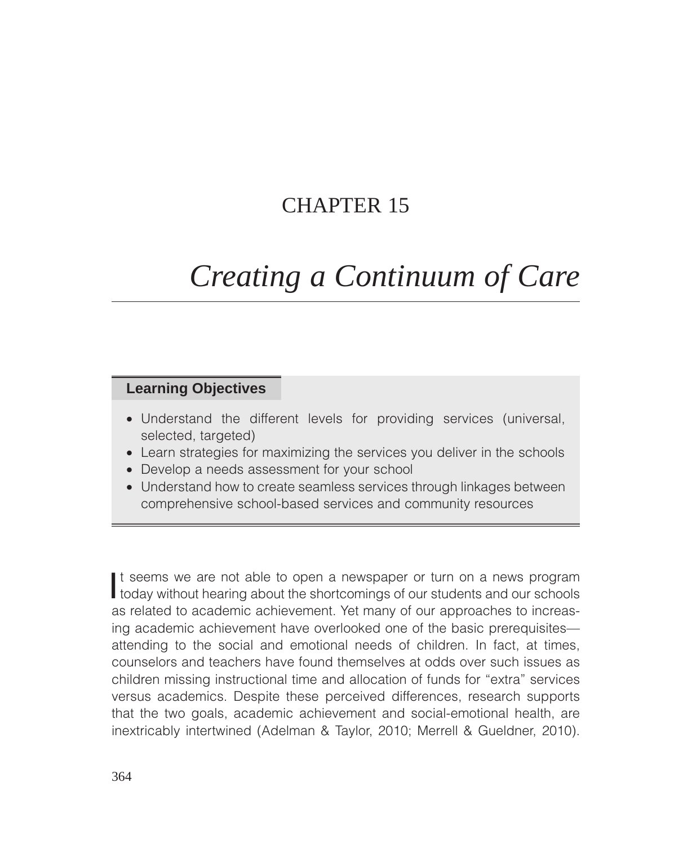## CHAPTER 15

# *Creating a Continuum of Care*

## **Learning Objectives**

- Understand the different levels for providing services (universal, selected, targeted)
- Learn strategies for maximizing the services you deliver in the schools
- Develop a needs assessment for your school
- Understand how to create seamless services through linkages between comprehensive school-based services and community resources

It seems we are not able to open a newspaper or turn on a news program<br>today without hearing about the shortcomings of our students and our schools t seems we are not able to open a newspaper or turn on a news program as related to academic achievement. Yet many of our approaches to increasing academic achievement have overlooked one of the basic prerequisites attending to the social and emotional needs of children. In fact, at times, counselors and teachers have found themselves at odds over such issues as children missing instructional time and allocation of funds for "extra" services versus academics. Despite these perceived differences, research supports that the two goals, academic achievement and social-emotional health, are inextricably intertwined (Adelman & Taylor, 2010; Merrell & Gueldner, 2010).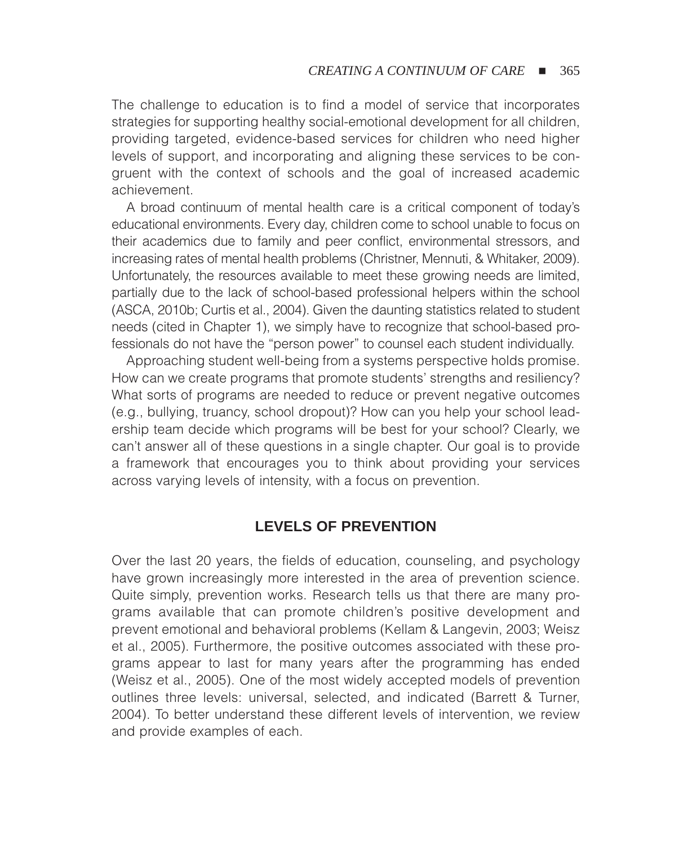The challenge to education is to find a model of service that incorporates strategies for supporting healthy social-emotional development for all children, providing targeted, evidence-based services for children who need higher levels of support, and incorporating and aligning these services to be congruent with the context of schools and the goal of increased academic achievement.

A broad continuum of mental health care is a critical component of today's educational environments. Every day, children come to school unable to focus on their academics due to family and peer conflict, environmental stressors, and increasing rates of mental health problems (Christner, Mennuti, & Whitaker, 2009). Unfortunately, the resources available to meet these growing needs are limited, partially due to the lack of school-based professional helpers within the school (ASCA, 2010b; Curtis et al., 2004). Given the daunting statistics related to student needs (cited in Chapter 1), we simply have to recognize that school-based professionals do not have the "person power" to counsel each student individually.

Approaching student well-being from a systems perspective holds promise. How can we create programs that promote students' strengths and resiliency? What sorts of programs are needed to reduce or prevent negative outcomes (e.g., bullying, truancy, school dropout)? How can you help your school leadership team decide which programs will be best for your school? Clearly, we can't answer all of these questions in a single chapter. Our goal is to provide a framework that encourages you to think about providing your services across varying levels of intensity, with a focus on prevention.

## **LEVELS OF PREVENTION**

Over the last 20 years, the fields of education, counseling, and psychology have grown increasingly more interested in the area of prevention science. Quite simply, prevention works. Research tells us that there are many programs available that can promote children's positive development and prevent emotional and behavioral problems (Kellam & Langevin, 2003; Weisz et al., 2005). Furthermore, the positive outcomes associated with these programs appear to last for many years after the programming has ended (Weisz et al., 2005). One of the most widely accepted models of prevention outlines three levels: universal, selected, and indicated (Barrett & Turner, 2004). To better understand these different levels of intervention, we review and provide examples of each.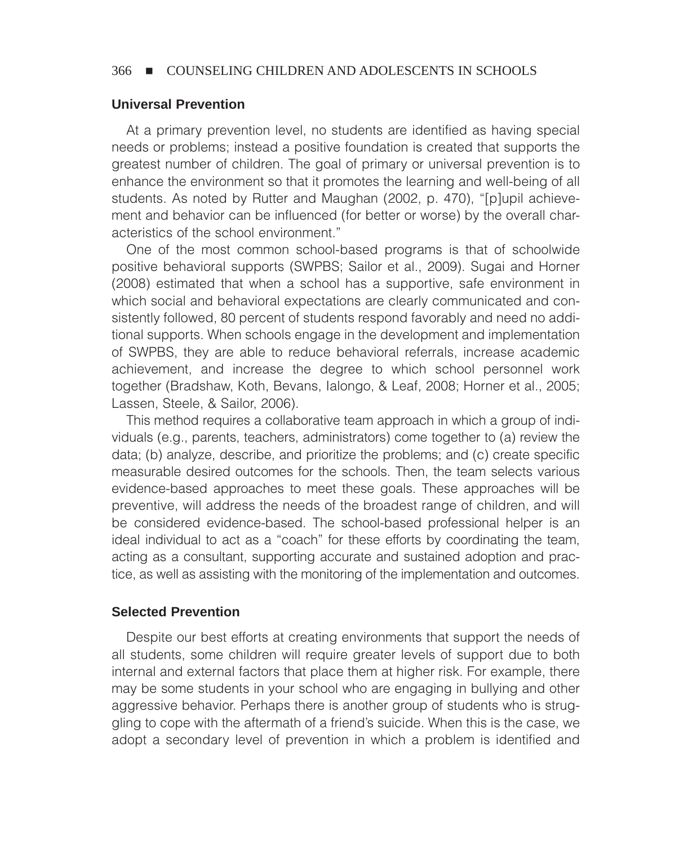#### **Universal Prevention**

At a primary prevention level, no students are identified as having special needs or problems; instead a positive foundation is created that supports the greatest number of children. The goal of primary or universal prevention is to enhance the environment so that it promotes the learning and well-being of all students. As noted by Rutter and Maughan (2002, p. 470), "[p]upil achievement and behavior can be influenced (for better or worse) by the overall characteristics of the school environment."

One of the most common school-based programs is that of schoolwide positive behavioral supports (SWPBS; Sailor et al., 2009). Sugai and Horner (2008) estimated that when a school has a supportive, safe environment in which social and behavioral expectations are clearly communicated and consistently followed, 80 percent of students respond favorably and need no additional supports. When schools engage in the development and implementation of SWPBS, they are able to reduce behavioral referrals, increase academic achievement, and increase the degree to which school personnel work together (Bradshaw, Koth, Bevans, Ialongo, & Leaf, 2008; Horner et al., 2005; Lassen, Steele, & Sailor, 2006).

This method requires a collaborative team approach in which a group of individuals (e.g., parents, teachers, administrators) come together to (a) review the data; (b) analyze, describe, and prioritize the problems; and (c) create specific measurable desired outcomes for the schools. Then, the team selects various evidence-based approaches to meet these goals. These approaches will be preventive, will address the needs of the broadest range of children, and will be considered evidence-based. The school-based professional helper is an ideal individual to act as a "coach" for these efforts by coordinating the team, acting as a consultant, supporting accurate and sustained adoption and practice, as well as assisting with the monitoring of the implementation and outcomes.

#### **Selected Prevention**

Despite our best efforts at creating environments that support the needs of all students, some children will require greater levels of support due to both internal and external factors that place them at higher risk. For example, there may be some students in your school who are engaging in bullying and other aggressive behavior. Perhaps there is another group of students who is struggling to cope with the aftermath of a friend's suicide. When this is the case, we adopt a secondary level of prevention in which a problem is identified and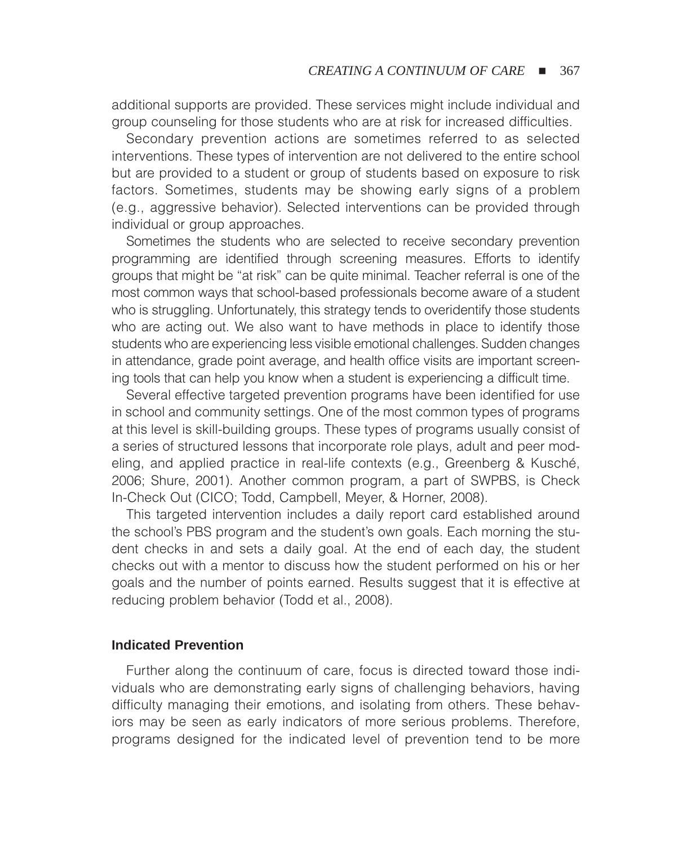additional supports are provided. These services might include individual and group counseling for those students who are at risk for increased difficulties.

Secondary prevention actions are sometimes referred to as selected interventions. These types of intervention are not delivered to the entire school but are provided to a student or group of students based on exposure to risk factors. Sometimes, students may be showing early signs of a problem (e.g., aggressive behavior). Selected interventions can be provided through individual or group approaches.

Sometimes the students who are selected to receive secondary prevention programming are identified through screening measures. Efforts to identify groups that might be "at risk" can be quite minimal. Teacher referral is one of the most common ways that school-based professionals become aware of a student who is struggling. Unfortunately, this strategy tends to overidentify those students who are acting out. We also want to have methods in place to identify those students who are experiencing less visible emotional challenges. Sudden changes in attendance, grade point average, and health office visits are important screening tools that can help you know when a student is experiencing a difficult time.

Several effective targeted prevention programs have been identified for use in school and community settings. One of the most common types of programs at this level is skill-building groups. These types of programs usually consist of a series of structured lessons that incorporate role plays, adult and peer modeling, and applied practice in real-life contexts (e.g., Greenberg & Kusché, 2006; Shure, 2001). Another common program, a part of SWPBS, is Check In-Check Out (CICO; Todd, Campbell, Meyer, & Horner, 2008).

This targeted intervention includes a daily report card established around the school's PBS program and the student's own goals. Each morning the student checks in and sets a daily goal. At the end of each day, the student checks out with a mentor to discuss how the student performed on his or her goals and the number of points earned. Results suggest that it is effective at reducing problem behavior (Todd et al., 2008).

#### **Indicated Prevention**

Further along the continuum of care, focus is directed toward those individuals who are demonstrating early signs of challenging behaviors, having difficulty managing their emotions, and isolating from others. These behaviors may be seen as early indicators of more serious problems. Therefore, programs designed for the indicated level of prevention tend to be more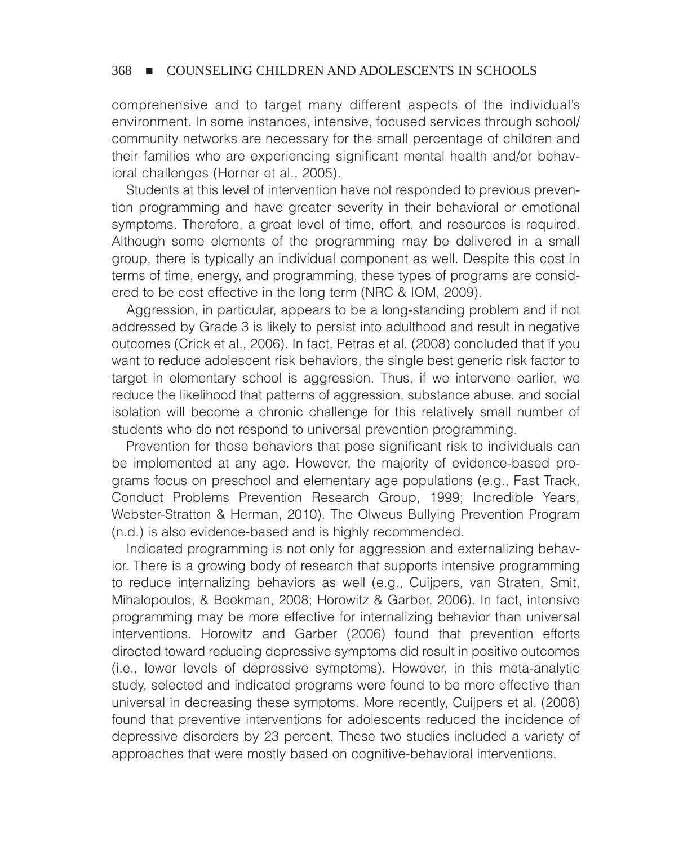comprehensive and to target many different aspects of the individual's environment. In some instances, intensive, focused services through school/ community networks are necessary for the small percentage of children and their families who are experiencing significant mental health and/or behavioral challenges (Horner et al., 2005).

Students at this level of intervention have not responded to previous prevention programming and have greater severity in their behavioral or emotional symptoms. Therefore, a great level of time, effort, and resources is required. Although some elements of the programming may be delivered in a small group, there is typically an individual component as well. Despite this cost in terms of time, energy, and programming, these types of programs are considered to be cost effective in the long term (NRC & IOM, 2009).

Aggression, in particular, appears to be a long-standing problem and if not addressed by Grade 3 is likely to persist into adulthood and result in negative outcomes (Crick et al., 2006). In fact, Petras et al. (2008) concluded that if you want to reduce adolescent risk behaviors, the single best generic risk factor to target in elementary school is aggression. Thus, if we intervene earlier, we reduce the likelihood that patterns of aggression, substance abuse, and social isolation will become a chronic challenge for this relatively small number of students who do not respond to universal prevention programming.

Prevention for those behaviors that pose significant risk to individuals can be implemented at any age. However, the majority of evidence-based programs focus on preschool and elementary age populations (e.g., Fast Track, Conduct Problems Prevention Research Group, 1999; Incredible Years, Webster-Stratton & Herman, 2010). The Olweus Bullying Prevention Program (n.d.) is also evidence-based and is highly recommended.

Indicated programming is not only for aggression and externalizing behavior. There is a growing body of research that supports intensive programming to reduce internalizing behaviors as well (e.g., Cuijpers, van Straten, Smit, Mihalopoulos, & Beekman, 2008; Horowitz & Garber, 2006). In fact, intensive programming may be more effective for internalizing behavior than universal interventions. Horowitz and Garber (2006) found that prevention efforts directed toward reducing depressive symptoms did result in positive outcomes (i.e., lower levels of depressive symptoms). However, in this meta-analytic study, selected and indicated programs were found to be more effective than universal in decreasing these symptoms. More recently, Cuijpers et al. (2008) found that preventive interventions for adolescents reduced the incidence of depressive disorders by 23 percent. These two studies included a variety of approaches that were mostly based on cognitive-behavioral interventions.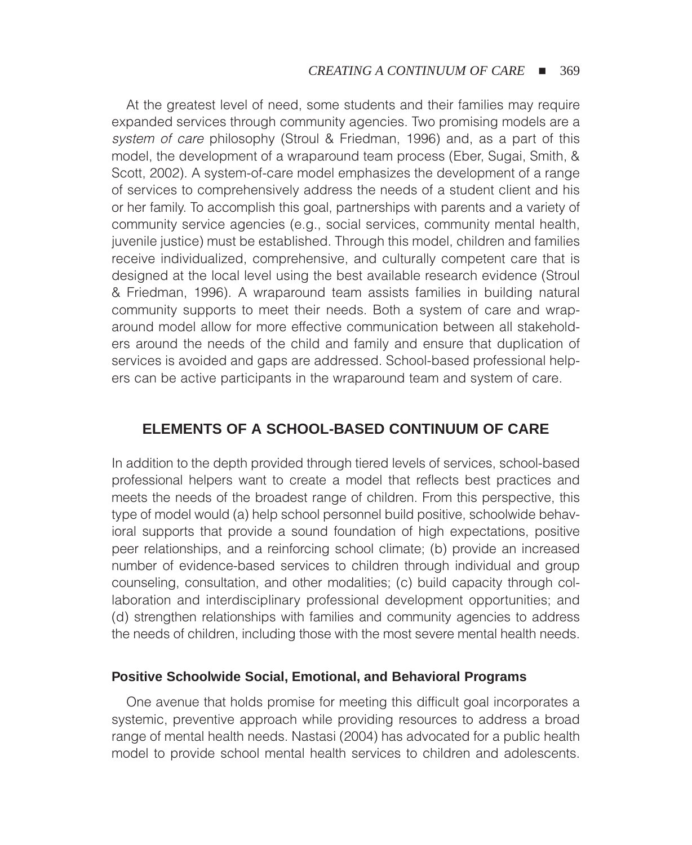At the greatest level of need, some students and their families may require expanded services through community agencies. Two promising models are a *system of care* philosophy (Stroul & Friedman, 1996) and, as a part of this model, the development of a wraparound team process (Eber, Sugai, Smith, & Scott, 2002). A system-of-care model emphasizes the development of a range of services to comprehensively address the needs of a student client and his or her family. To accomplish this goal, partnerships with parents and a variety of community service agencies (e.g., social services, community mental health, juvenile justice) must be established. Through this model, children and families receive individualized, comprehensive, and culturally competent care that is designed at the local level using the best available research evidence (Stroul & Friedman, 1996). A wraparound team assists families in building natural community supports to meet their needs. Both a system of care and wraparound model allow for more effective communication between all stakeholders around the needs of the child and family and ensure that duplication of services is avoided and gaps are addressed. School-based professional helpers can be active participants in the wraparound team and system of care.

## **ELEMENTS OF A SCHOOL-BASED CONTINUUM OF CARE**

In addition to the depth provided through tiered levels of services, school-based professional helpers want to create a model that reflects best practices and meets the needs of the broadest range of children. From this perspective, this type of model would (a) help school personnel build positive, schoolwide behavioral supports that provide a sound foundation of high expectations, positive peer relationships, and a reinforcing school climate; (b) provide an increased number of evidence-based services to children through individual and group counseling, consultation, and other modalities; (c) build capacity through collaboration and interdisciplinary professional development opportunities; and (d) strengthen relationships with families and community agencies to address the needs of children, including those with the most severe mental health needs.

#### **Positive Schoolwide Social, Emotional, and Behavioral Programs**

One avenue that holds promise for meeting this difficult goal incorporates a systemic, preventive approach while providing resources to address a broad range of mental health needs. Nastasi (2004) has advocated for a public health model to provide school mental health services to children and adolescents.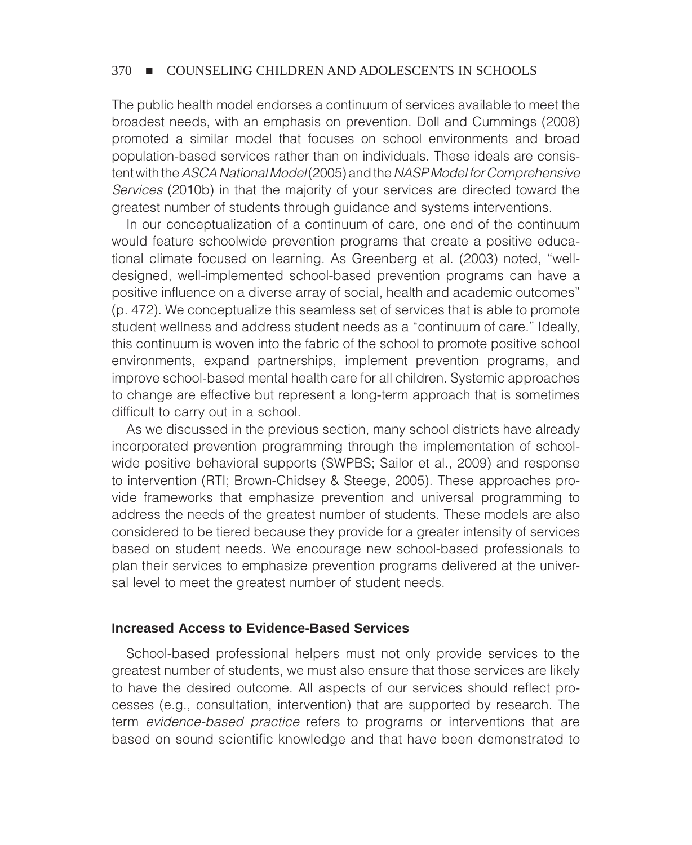The public health model endorses a continuum of services available to meet the broadest needs, with an emphasis on prevention. Doll and Cummings (2008) promoted a similar model that focuses on school environments and broad population-based services rather than on individuals. These ideals are consistent with the *ASCA National Model* (2005) and the *NASP Model for Comprehensive Services* (2010b) in that the majority of your services are directed toward the greatest number of students through guidance and systems interventions.

In our conceptualization of a continuum of care, one end of the continuum would feature schoolwide prevention programs that create a positive educational climate focused on learning. As Greenberg et al. (2003) noted, "welldesigned, well-implemented school-based prevention programs can have a positive influence on a diverse array of social, health and academic outcomes" (p. 472). We conceptualize this seamless set of services that is able to promote student wellness and address student needs as a "continuum of care." Ideally, this continuum is woven into the fabric of the school to promote positive school environments, expand partnerships, implement prevention programs, and improve school-based mental health care for all children. Systemic approaches to change are effective but represent a long-term approach that is sometimes difficult to carry out in a school.

As we discussed in the previous section, many school districts have already incorporated prevention programming through the implementation of schoolwide positive behavioral supports (SWPBS; Sailor et al., 2009) and response to intervention (RTI; Brown-Chidsey & Steege, 2005). These approaches provide frameworks that emphasize prevention and universal programming to address the needs of the greatest number of students. These models are also considered to be tiered because they provide for a greater intensity of services based on student needs. We encourage new school-based professionals to plan their services to emphasize prevention programs delivered at the universal level to meet the greatest number of student needs.

#### **Increased Access to Evidence-Based Services**

School-based professional helpers must not only provide services to the greatest number of students, we must also ensure that those services are likely to have the desired outcome. All aspects of our services should reflect processes (e.g., consultation, intervention) that are supported by research. The term *evidence-based practice* refers to programs or interventions that are based on sound scientific knowledge and that have been demonstrated to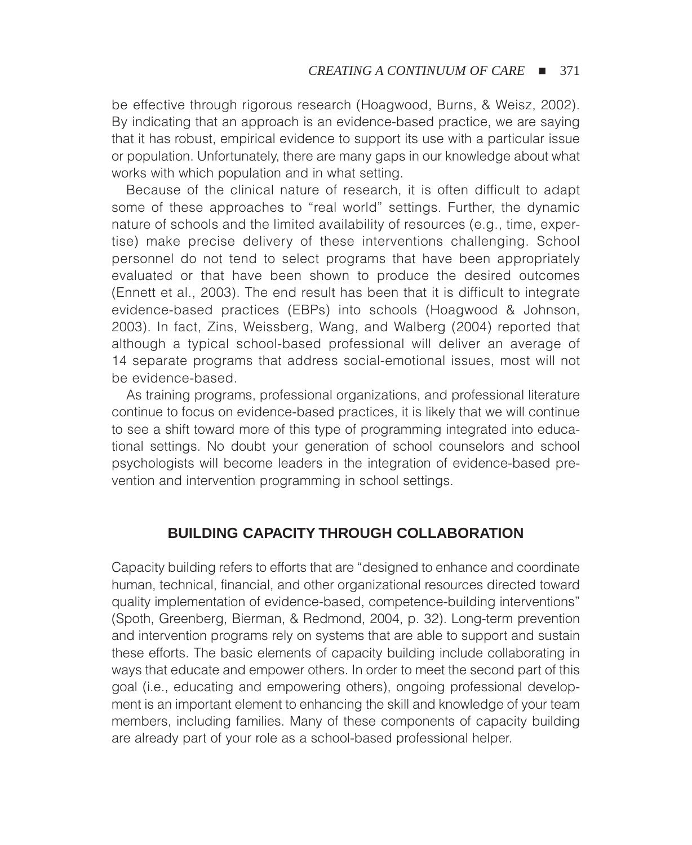be effective through rigorous research (Hoagwood, Burns, & Weisz, 2002). By indicating that an approach is an evidence-based practice, we are saying that it has robust, empirical evidence to support its use with a particular issue or population. Unfortunately, there are many gaps in our knowledge about what works with which population and in what setting.

Because of the clinical nature of research, it is often difficult to adapt some of these approaches to "real world" settings. Further, the dynamic nature of schools and the limited availability of resources (e.g., time, expertise) make precise delivery of these interventions challenging. School personnel do not tend to select programs that have been appropriately evaluated or that have been shown to produce the desired outcomes (Ennett et al., 2003). The end result has been that it is difficult to integrate evidence-based practices (EBPs) into schools (Hoagwood & Johnson, 2003). In fact, Zins, Weissberg, Wang, and Walberg (2004) reported that although a typical school-based professional will deliver an average of 14 separate programs that address social-emotional issues, most will not be evidence-based.

As training programs, professional organizations, and professional literature continue to focus on evidence-based practices, it is likely that we will continue to see a shift toward more of this type of programming integrated into educational settings. No doubt your generation of school counselors and school psychologists will become leaders in the integration of evidence-based prevention and intervention programming in school settings.

## **BUILDING CAPACITY THROUGH COLLABORATION**

Capacity building refers to efforts that are "designed to enhance and coordinate human, technical, financial, and other organizational resources directed toward quality implementation of evidence-based, competence-building interventions" (Spoth, Greenberg, Bierman, & Redmond, 2004, p. 32). Long-term prevention and intervention programs rely on systems that are able to support and sustain these efforts. The basic elements of capacity building include collaborating in ways that educate and empower others. In order to meet the second part of this goal (i.e., educating and empowering others), ongoing professional development is an important element to enhancing the skill and knowledge of your team members, including families. Many of these components of capacity building are already part of your role as a school-based professional helper.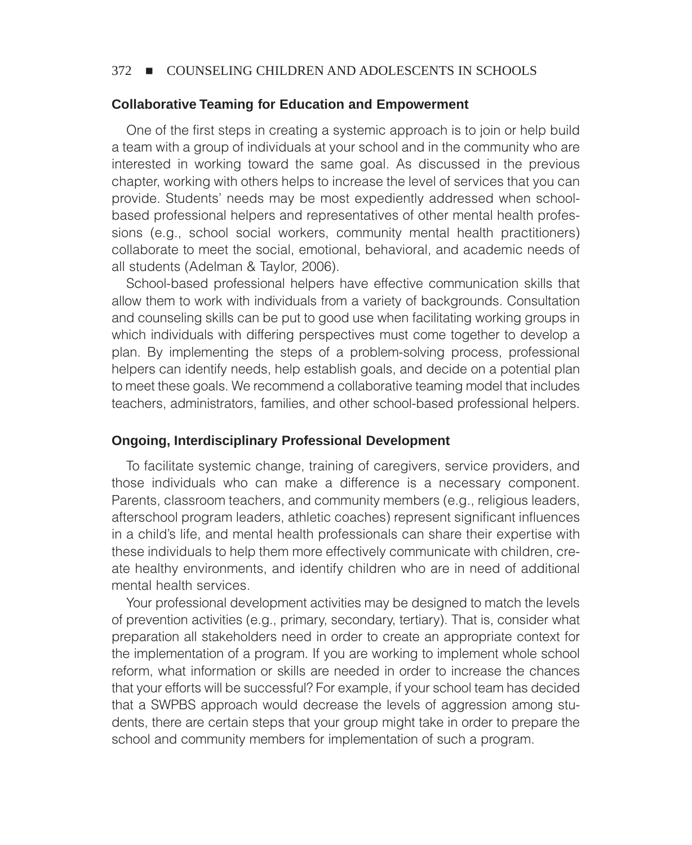#### **Collaborative Teaming for Education and Empowerment**

One of the first steps in creating a systemic approach is to join or help build a team with a group of individuals at your school and in the community who are interested in working toward the same goal. As discussed in the previous chapter, working with others helps to increase the level of services that you can provide. Students' needs may be most expediently addressed when schoolbased professional helpers and representatives of other mental health professions (e.g., school social workers, community mental health practitioners) collaborate to meet the social, emotional, behavioral, and academic needs of all students (Adelman & Taylor, 2006).

School-based professional helpers have effective communication skills that allow them to work with individuals from a variety of backgrounds. Consultation and counseling skills can be put to good use when facilitating working groups in which individuals with differing perspectives must come together to develop a plan. By implementing the steps of a problem-solving process, professional helpers can identify needs, help establish goals, and decide on a potential plan to meet these goals. We recommend a collaborative teaming model that includes teachers, administrators, families, and other school-based professional helpers.

#### **Ongoing, Interdisciplinary Professional Development**

To facilitate systemic change, training of caregivers, service providers, and those individuals who can make a difference is a necessary component. Parents, classroom teachers, and community members (e.g., religious leaders, afterschool program leaders, athletic coaches) represent significant influences in a child's life, and mental health professionals can share their expertise with these individuals to help them more effectively communicate with children, create healthy environments, and identify children who are in need of additional mental health services.

Your professional development activities may be designed to match the levels of prevention activities (e.g., primary, secondary, tertiary). That is, consider what preparation all stakeholders need in order to create an appropriate context for the implementation of a program. If you are working to implement whole school reform, what information or skills are needed in order to increase the chances that your efforts will be successful? For example, if your school team has decided that a SWPBS approach would decrease the levels of aggression among students, there are certain steps that your group might take in order to prepare the school and community members for implementation of such a program.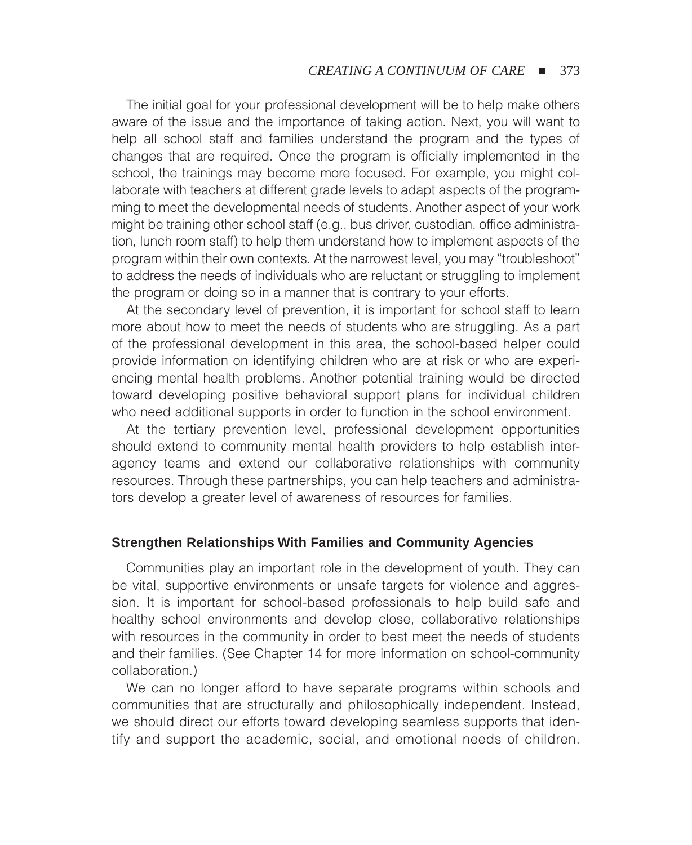The initial goal for your professional development will be to help make others aware of the issue and the importance of taking action. Next, you will want to help all school staff and families understand the program and the types of changes that are required. Once the program is officially implemented in the school, the trainings may become more focused. For example, you might collaborate with teachers at different grade levels to adapt aspects of the programming to meet the developmental needs of students. Another aspect of your work might be training other school staff (e.g., bus driver, custodian, office administration, lunch room staff) to help them understand how to implement aspects of the program within their own contexts. At the narrowest level, you may "troubleshoot" to address the needs of individuals who are reluctant or struggling to implement the program or doing so in a manner that is contrary to your efforts.

At the secondary level of prevention, it is important for school staff to learn more about how to meet the needs of students who are struggling. As a part of the professional development in this area, the school-based helper could provide information on identifying children who are at risk or who are experiencing mental health problems. Another potential training would be directed toward developing positive behavioral support plans for individual children who need additional supports in order to function in the school environment.

At the tertiary prevention level, professional development opportunities should extend to community mental health providers to help establish interagency teams and extend our collaborative relationships with community resources. Through these partnerships, you can help teachers and administrators develop a greater level of awareness of resources for families.

#### **Strengthen Relationships With Families and Community Agencies**

Communities play an important role in the development of youth. They can be vital, supportive environments or unsafe targets for violence and aggression. It is important for school-based professionals to help build safe and healthy school environments and develop close, collaborative relationships with resources in the community in order to best meet the needs of students and their families. (See Chapter 14 for more information on school-community collaboration.)

We can no longer afford to have separate programs within schools and communities that are structurally and philosophically independent. Instead, we should direct our efforts toward developing seamless supports that identify and support the academic, social, and emotional needs of children.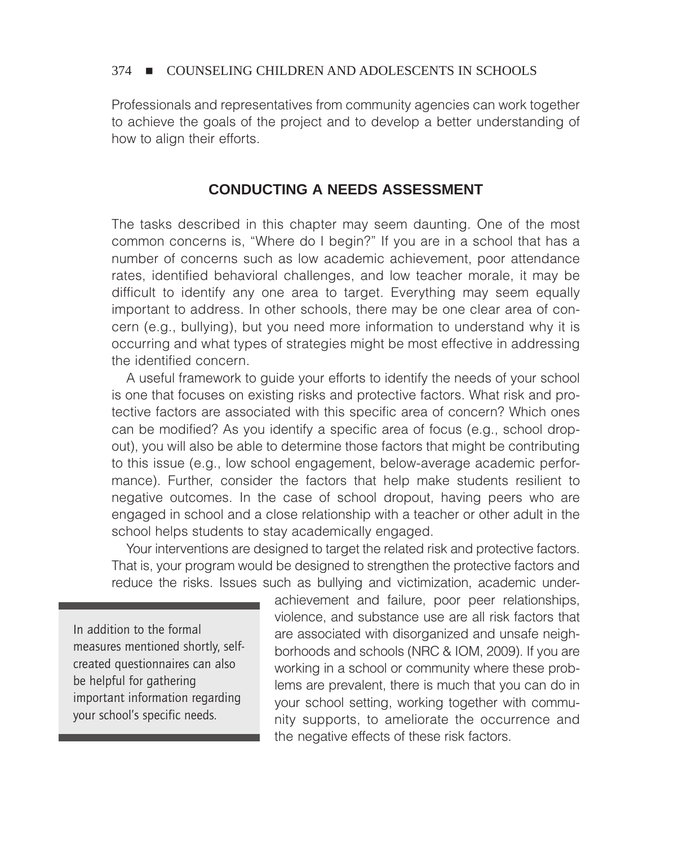Professionals and representatives from community agencies can work together to achieve the goals of the project and to develop a better understanding of how to align their efforts.

## **CONDUCTING A NEEDS ASSESSMENT**

The tasks described in this chapter may seem daunting. One of the most common concerns is, "Where do I begin?" If you are in a school that has a number of concerns such as low academic achievement, poor attendance rates, identified behavioral challenges, and low teacher morale, it may be difficult to identify any one area to target. Everything may seem equally important to address. In other schools, there may be one clear area of concern (e.g., bullying), but you need more information to understand why it is occurring and what types of strategies might be most effective in addressing the identified concern.

A useful framework to guide your efforts to identify the needs of your school is one that focuses on existing risks and protective factors. What risk and protective factors are associated with this specific area of concern? Which ones can be modified? As you identify a specific area of focus (e.g., school dropout), you will also be able to determine those factors that might be contributing to this issue (e.g., low school engagement, below-average academic performance). Further, consider the factors that help make students resilient to negative outcomes. In the case of school dropout, having peers who are engaged in school and a close relationship with a teacher or other adult in the school helps students to stay academically engaged.

Your interventions are designed to target the related risk and protective factors. That is, your program would be designed to strengthen the protective factors and reduce the risks. Issues such as bullying and victimization, academic under-

In addition to the formal measures mentioned shortly, selfcreated questionnaires can also be helpful for gathering important information regarding your school's specific needs.

achievement and failure, poor peer relationships, violence, and substance use are all risk factors that are associated with disorganized and unsafe neighborhoods and schools (NRC & IOM, 2009). If you are working in a school or community where these problems are prevalent, there is much that you can do in your school setting, working together with community supports, to ameliorate the occurrence and the negative effects of these risk factors.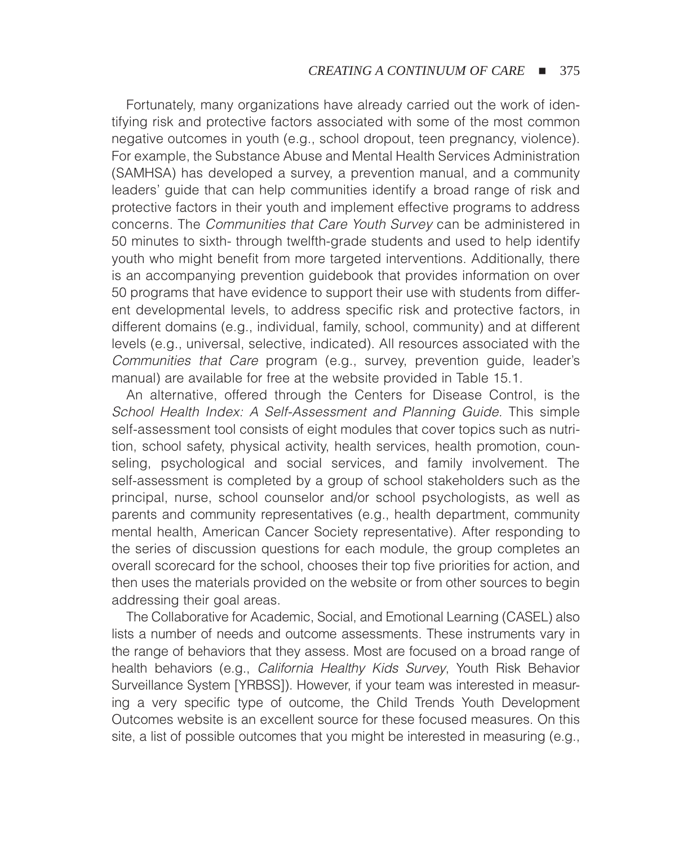Fortunately, many organizations have already carried out the work of identifying risk and protective factors associated with some of the most common negative outcomes in youth (e.g., school dropout, teen pregnancy, violence). For example, the Substance Abuse and Mental Health Services Administration (SAMHSA) has developed a survey, a prevention manual, and a community leaders' guide that can help communities identify a broad range of risk and protective factors in their youth and implement effective programs to address concerns. The *Communities that Care Youth Survey* can be administered in 50 minutes to sixth- through twelfth-grade students and used to help identify youth who might benefit from more targeted interventions. Additionally, there is an accompanying prevention guidebook that provides information on over 50 programs that have evidence to support their use with students from different developmental levels, to address specific risk and protective factors, in different domains (e.g., individual, family, school, community) and at different levels (e.g., universal, selective, indicated). All resources associated with the *Communities that Care* program (e.g., survey, prevention guide, leader's manual) are available for free at the website provided in Table 15.1.

An alternative, offered through the Centers for Disease Control, is the *School Health Index: A Self-Assessment and Planning Guide.* This simple self-assessment tool consists of eight modules that cover topics such as nutrition, school safety, physical activity, health services, health promotion, counseling, psychological and social services, and family involvement. The self-assessment is completed by a group of school stakeholders such as the principal, nurse, school counselor and/or school psychologists, as well as parents and community representatives (e.g., health department, community mental health, American Cancer Society representative). After responding to the series of discussion questions for each module, the group completes an overall scorecard for the school, chooses their top five priorities for action, and then uses the materials provided on the website or from other sources to begin addressing their goal areas.

The Collaborative for Academic, Social, and Emotional Learning (CASEL) also lists a number of needs and outcome assessments. These instruments vary in the range of behaviors that they assess. Most are focused on a broad range of health behaviors (e.g., *California Healthy Kids Survey*, Youth Risk Behavior Surveillance System [YRBSS]). However, if your team was interested in measuring a very specific type of outcome, the Child Trends Youth Development Outcomes website is an excellent source for these focused measures. On this site, a list of possible outcomes that you might be interested in measuring (e.g.,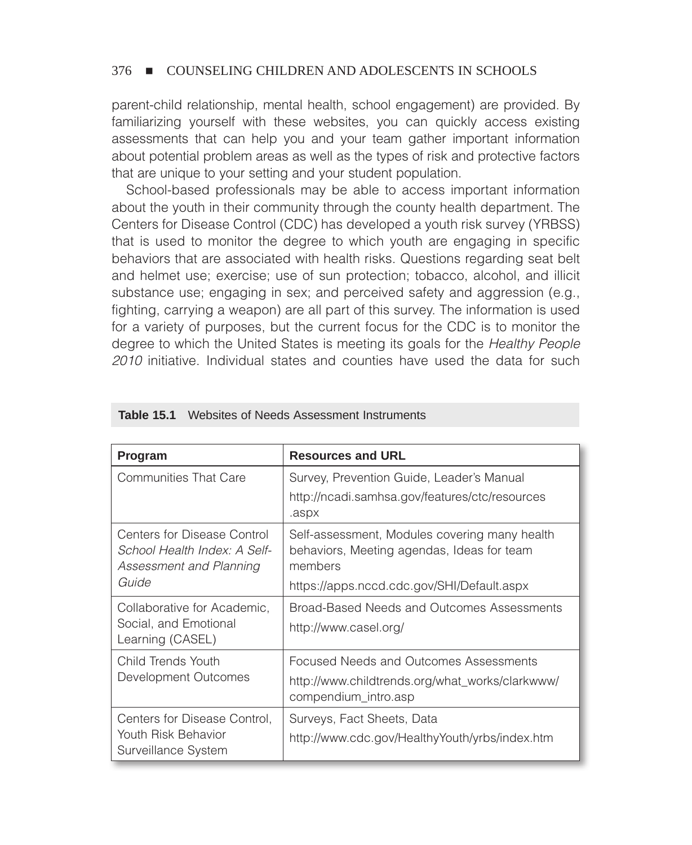parent-child relationship, mental health, school engagement) are provided. By familiarizing yourself with these websites, you can quickly access existing assessments that can help you and your team gather important information about potential problem areas as well as the types of risk and protective factors that are unique to your setting and your student population.

School-based professionals may be able to access important information about the youth in their community through the county health department. The Centers for Disease Control (CDC) has developed a youth risk survey (YRBSS) that is used to monitor the degree to which youth are engaging in specific behaviors that are associated with health risks. Questions regarding seat belt and helmet use; exercise; use of sun protection; tobacco, alcohol, and illicit substance use; engaging in sex; and perceived safety and aggression (e.g., fighting, carrying a weapon) are all part of this survey. The information is used for a variety of purposes, but the current focus for the CDC is to monitor the degree to which the United States is meeting its goals for the *Healthy People 2010* initiative. Individual states and counties have used the data for such

| Program                                                                                | <b>Resources and URL</b>                                                                                          |  |  |
|----------------------------------------------------------------------------------------|-------------------------------------------------------------------------------------------------------------------|--|--|
| <b>Communities That Care</b>                                                           | Survey, Prevention Guide, Leader's Manual                                                                         |  |  |
|                                                                                        | http://ncadi.samhsa.gov/features/ctc/resources<br>.aspx                                                           |  |  |
| Centers for Disease Control<br>School Health Index: A Self-<br>Assessment and Planning | Self-assessment, Modules covering many health<br>behaviors, Meeting agendas, Ideas for team<br>members            |  |  |
| Guide                                                                                  | https://apps.nccd.cdc.gov/SHI/Default.aspx                                                                        |  |  |
| Collaborative for Academic,<br>Social, and Emotional<br>Learning (CASEL)               | Broad-Based Needs and Outcomes Assessments<br>http://www.casel.org/                                               |  |  |
| Child Trends Youth<br>Development Outcomes                                             | Focused Needs and Outcomes Assessments<br>http://www.childtrends.org/what_works/clarkwww/<br>compendium_intro.asp |  |  |
| Centers for Disease Control,<br>Youth Risk Behavior<br>Surveillance System             | Surveys, Fact Sheets, Data<br>http://www.cdc.gov/HealthyYouth/yrbs/index.htm                                      |  |  |

|  |  | <b>Table 15.1</b> Websites of Needs Assessment Instruments |  |  |  |
|--|--|------------------------------------------------------------|--|--|--|
|--|--|------------------------------------------------------------|--|--|--|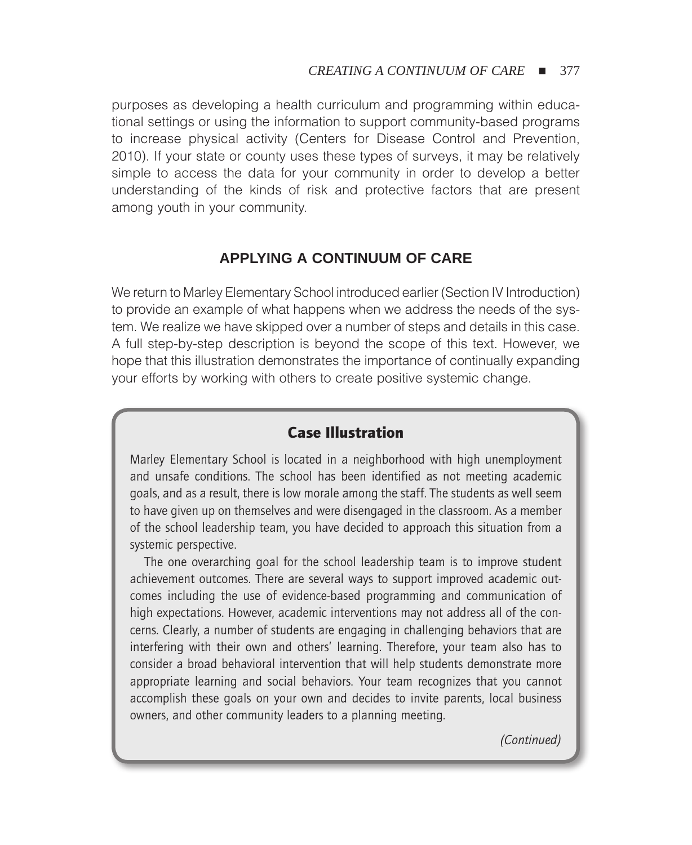purposes as developing a health curriculum and programming within educational settings or using the information to support community-based programs to increase physical activity (Centers for Disease Control and Prevention, 2010). If your state or county uses these types of surveys, it may be relatively simple to access the data for your community in order to develop a better understanding of the kinds of risk and protective factors that are present among youth in your community.

## **APPLYING A CONTINUUM OF CARE**

We return to Marley Elementary School introduced earlier (Section IV Introduction) to provide an example of what happens when we address the needs of the system. We realize we have skipped over a number of steps and details in this case. A full step-by-step description is beyond the scope of this text. However, we hope that this illustration demonstrates the importance of continually expanding your efforts by working with others to create positive systemic change.

## Case Illustration

Marley Elementary School is located in a neighborhood with high unemployment and unsafe conditions. The school has been identified as not meeting academic goals, and as a result, there is low morale among the staff. The students as well seem to have given up on themselves and were disengaged in the classroom. As a member of the school leadership team, you have decided to approach this situation from a systemic perspective.

The one overarching goal for the school leadership team is to improve student achievement outcomes. There are several ways to support improved academic outcomes including the use of evidence-based programming and communication of high expectations. However, academic interventions may not address all of the concerns. Clearly, a number of students are engaging in challenging behaviors that are interfering with their own and others' learning. Therefore, your team also has to consider a broad behavioral intervention that will help students demonstrate more appropriate learning and social behaviors. Your team recognizes that you cannot accomplish these goals on your own and decides to invite parents, local business owners, and other community leaders to a planning meeting.

*(Continued)*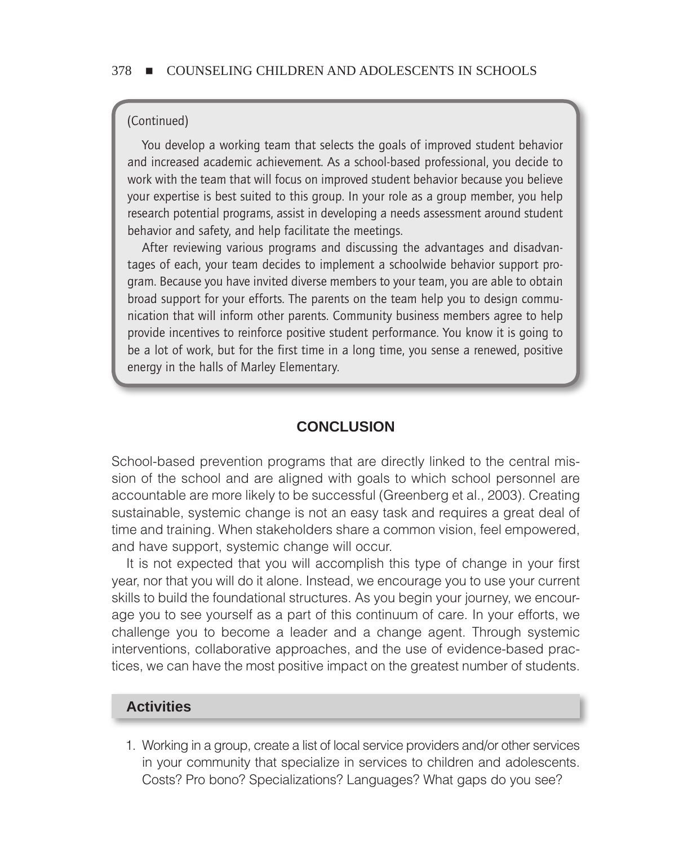#### (Continued)

You develop a working team that selects the goals of improved student behavior and increased academic achievement. As a school-based professional, you decide to work with the team that will focus on improved student behavior because you believe your expertise is best suited to this group. In your role as a group member, you help research potential programs, assist in developing a needs assessment around student behavior and safety, and help facilitate the meetings.

After reviewing various programs and discussing the advantages and disadvantages of each, your team decides to implement a schoolwide behavior support program. Because you have invited diverse members to your team, you are able to obtain broad support for your efforts. The parents on the team help you to design communication that will inform other parents. Community business members agree to help provide incentives to reinforce positive student performance. You know it is going to be a lot of work, but for the first time in a long time, you sense a renewed, positive energy in the halls of Marley Elementary.

## **CONCLUSION**

School-based prevention programs that are directly linked to the central mission of the school and are aligned with goals to which school personnel are accountable are more likely to be successful (Greenberg et al., 2003). Creating sustainable, systemic change is not an easy task and requires a great deal of time and training. When stakeholders share a common vision, feel empowered, and have support, systemic change will occur.

It is not expected that you will accomplish this type of change in your first year, nor that you will do it alone. Instead, we encourage you to use your current skills to build the foundational structures. As you begin your journey, we encourage you to see yourself as a part of this continuum of care. In your efforts, we challenge you to become a leader and a change agent. Through systemic interventions, collaborative approaches, and the use of evidence-based practices, we can have the most positive impact on the greatest number of students.

## **Activities**

1. Working in a group, create a list of local service providers and/or other services in your community that specialize in services to children and adolescents. Costs? Pro bono? Specializations? Languages? What gaps do you see?